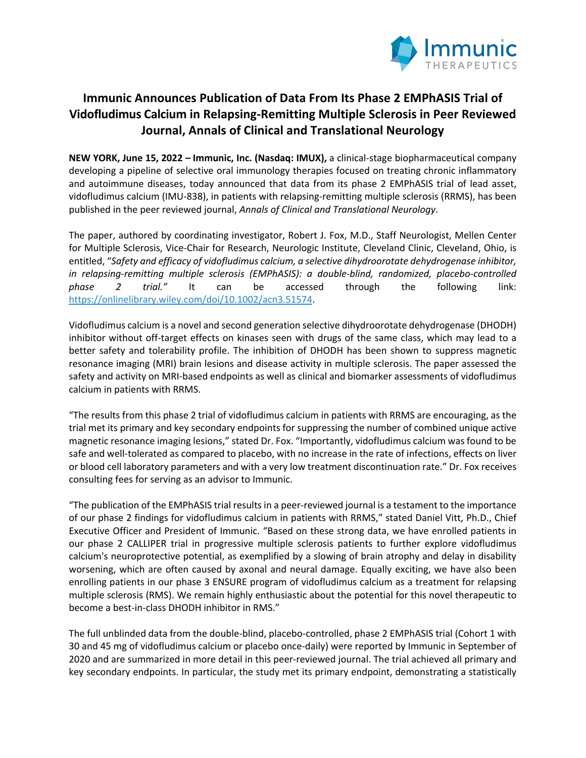

# **Immunic Announces Publication of Data From Its Phase 2 EMPhASIS Trial of Vidofludimus Calcium in Relapsing-Remitting Multiple Sclerosis in Peer Reviewed Journal, Annals of Clinical and Translational Neurology**

**NEW YORK, June 15, 2022 – Immunic, Inc. (Nasdaq: IMUX),** a clinical-stage biopharmaceutical company developing a pipeline of selective oral immunology therapies focused on treating chronic inflammatory and autoimmune diseases, today announced that data from its phase 2 EMPhASIS trial of lead asset, vidofludimus calcium (IMU-838), in patients with relapsing-remitting multiple sclerosis (RRMS), has been published in the peer reviewed journal, *Annals of Clinical and Translational Neurology*.

The paper, authored by coordinating investigator, Robert J. Fox, M.D., Staff Neurologist, Mellen Center for Multiple Sclerosis, Vice-Chair for Research, Neurologic Institute, Cleveland Clinic, Cleveland, Ohio, is entitled, "*Safety and efficacy of vidofludimus calcium, a selective dihydroorotate dehydrogenase inhibitor, in relapsing-remitting multiple sclerosis (EMPhASIS): a double-blind, randomized, placebo-controlled phase 2 trial."* It can be accessed through the following link: https://onlinelibrary.wiley.com/doi/10.1002/acn3.51574.

Vidofludimus calcium is a novel and second generation selective dihydroorotate dehydrogenase (DHODH) inhibitor without off-target effects on kinases seen with drugs of the same class, which may lead to a better safety and tolerability profile. The inhibition of DHODH has been shown to suppress magnetic resonance imaging (MRI) brain lesions and disease activity in multiple sclerosis. The paper assessed the safety and activity on MRI-based endpoints as well as clinical and biomarker assessments of vidofludimus calcium in patients with RRMS.

"The results from this phase 2 trial of vidofludimus calcium in patients with RRMS are encouraging, as the trial met its primary and key secondary endpoints for suppressing the number of combined unique active magnetic resonance imaging lesions," stated Dr. Fox. "Importantly, vidofludimus calcium was found to be safe and well-tolerated as compared to placebo, with no increase in the rate of infections, effects on liver or blood cell laboratory parameters and with a very low treatment discontinuation rate." Dr. Fox receives consulting fees for serving as an advisor to Immunic.

"The publication of the EMPhASIS trial results in a peer-reviewed journal is a testament to the importance of our phase 2 findings for vidofludimus calcium in patients with RRMS," stated Daniel Vitt, Ph.D., Chief Executive Officer and President of Immunic. "Based on these strong data, we have enrolled patients in our phase 2 CALLIPER trial in progressive multiple sclerosis patients to further explore vidofludimus calcium's neuroprotective potential, as exemplified by a slowing of brain atrophy and delay in disability worsening, which are often caused by axonal and neural damage. Equally exciting, we have also been enrolling patients in our phase 3 ENSURE program of vidofludimus calcium as a treatment for relapsing multiple sclerosis (RMS). We remain highly enthusiastic about the potential for this novel therapeutic to become a best-in-class DHODH inhibitor in RMS."

The full unblinded data from the double-blind, placebo-controlled, phase 2 EMPhASIS trial (Cohort 1 with 30 and 45 mg of vidofludimus calcium or placebo once-daily) were reported by Immunic in September of 2020 and are summarized in more detail in this peer-reviewed journal. The trial achieved all primary and key secondary endpoints. In particular, the study met its primary endpoint, demonstrating a statistically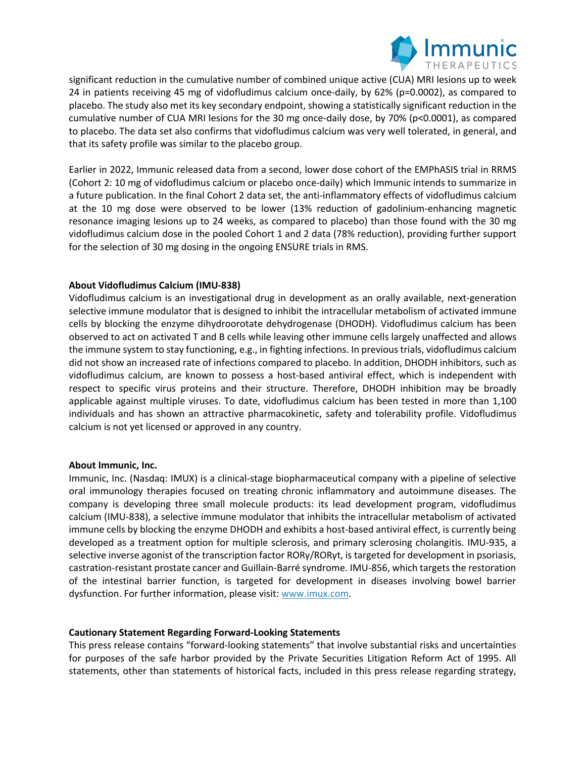

significant reduction in the cumulative number of combined unique active (CUA) MRI lesions up to week 24 in patients receiving 45 mg of vidofludimus calcium once-daily, by 62% (p=0.0002), as compared to placebo. The study also met its key secondary endpoint, showing a statistically significant reduction in the cumulative number of CUA MRI lesions for the 30 mg once-daily dose, by 70% (p<0.0001), as compared to placebo. The data set also confirms that vidofludimus calcium was very well tolerated, in general, and that its safety profile was similar to the placebo group.

Earlier in 2022, Immunic released data from a second, lower dose cohort of the EMPhASIS trial in RRMS (Cohort 2: 10 mg of vidofludimus calcium or placebo once-daily) which Immunic intends to summarize in a future publication. In the final Cohort 2 data set, the anti-inflammatory effects of vidofludimus calcium at the 10 mg dose were observed to be lower (13% reduction of gadolinium-enhancing magnetic resonance imaging lesions up to 24 weeks, as compared to placebo) than those found with the 30 mg vidofludimus calcium dose in the pooled Cohort 1 and 2 data (78% reduction), providing further support for the selection of 30 mg dosing in the ongoing ENSURE trials in RMS.

## **About Vidofludimus Calcium (IMU-838)**

Vidofludimus calcium is an investigational drug in development as an orally available, next-generation selective immune modulator that is designed to inhibit the intracellular metabolism of activated immune cells by blocking the enzyme dihydroorotate dehydrogenase (DHODH). Vidofludimus calcium has been observed to act on activated T and B cells while leaving other immune cells largely unaffected and allows the immune system to stay functioning, e.g., in fighting infections. In previous trials, vidofludimus calcium did not show an increased rate of infections compared to placebo. In addition, DHODH inhibitors, such as vidofludimus calcium, are known to possess a host-based antiviral effect, which is independent with respect to specific virus proteins and their structure. Therefore, DHODH inhibition may be broadly applicable against multiple viruses. To date, vidofludimus calcium has been tested in more than 1,100 individuals and has shown an attractive pharmacokinetic, safety and tolerability profile. Vidofludimus calcium is not yet licensed or approved in any country.

### **About Immunic, Inc.**

Immunic, Inc. (Nasdaq: IMUX) is a clinical-stage biopharmaceutical company with a pipeline of selective oral immunology therapies focused on treating chronic inflammatory and autoimmune diseases. The company is developing three small molecule products: its lead development program, vidofludimus calcium (IMU-838), a selective immune modulator that inhibits the intracellular metabolism of activated immune cells by blocking the enzyme DHODH and exhibits a host-based antiviral effect, is currently being developed as a treatment option for multiple sclerosis, and primary sclerosing cholangitis. IMU-935, a selective inverse agonist of the transcription factor RORγ/RORγt, is targeted for development in psoriasis, castration-resistant prostate cancer and Guillain-Barré syndrome. IMU-856, which targets the restoration of the intestinal barrier function, is targeted for development in diseases involving bowel barrier dysfunction. For further information, please visit: www.imux.com.

### **Cautionary Statement Regarding Forward-Looking Statements**

This press release contains "forward-looking statements" that involve substantial risks and uncertainties for purposes of the safe harbor provided by the Private Securities Litigation Reform Act of 1995. All statements, other than statements of historical facts, included in this press release regarding strategy,